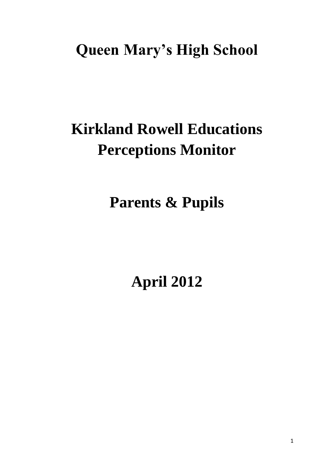# **Queen Mary's High School**

# **Kirkland Rowell Educations Perceptions Monitor**

# **Parents & Pupils**

# **April 2012**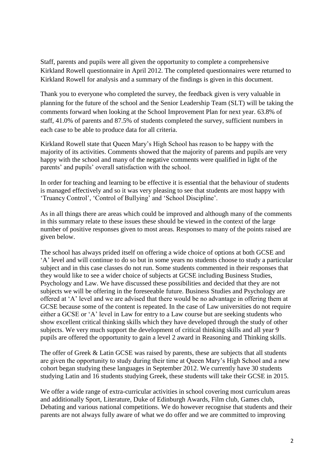Staff, parents and pupils were all given the opportunity to complete a comprehensive Kirkland Rowell questionnaire in April 2012. The completed questionnaires were returned to Kirkland Rowell for analysis and a summary of the findings is given in this document.

Thank you to everyone who completed the survey, the feedback given is very valuable in planning for the future of the school and the Senior Leadership Team (SLT) will be taking the comments forward when looking at the School Improvement Plan for next year. 63.8% of staff, 41.0% of parents and 87.5% of students completed the survey, sufficient numbers in each case to be able to produce data for all criteria.

Kirkland Rowell state that Queen Mary's High School has reason to be happy with the majority of its activities. Comments showed that the majority of parents and pupils are very happy with the school and many of the negative comments were qualified in light of the parents' and pupils' overall satisfaction with the school.

In order for teaching and learning to be effective it is essential that the behaviour of students is managed effectively and so it was very pleasing to see that students are most happy with 'Truancy Control', 'Control of Bullying' and 'School Discipline'.

As in all things there are areas which could be improved and although many of the comments in this summary relate to these issues these should be viewed in the context of the large number of positive responses given to most areas. Responses to many of the points raised are given below.

The school has always prided itself on offering a wide choice of options at both GCSE and 'A' level and will continue to do so but in some years no students choose to study a particular subject and in this case classes do not run. Some students commented in their responses that they would like to see a wider choice of subjects at GCSE including Business Studies, Psychology and Law. We have discussed these possibilities and decided that they are not subjects we will be offering in the foreseeable future. Business Studies and Psychology are offered at 'A' level and we are advised that there would be no advantage in offering them at GCSE because some of the content is repeated. In the case of Law universities do not require either a GCSE or 'A' level in Law for entry to a Law course but are seeking students who show excellent critical thinking skills which they have developed through the study of other subjects. We very much support the development of critical thinking skills and all year 9 pupils are offered the opportunity to gain a level 2 award in Reasoning and Thinking skills.

The offer of Greek & Latin GCSE was raised by parents, these are subjects that all students are given the opportunity to study during their time at Queen Mary's High School and a new cohort began studying these languages in September 2012. We currently have 30 students studying Latin and 16 students studying Greek, these students will take their GCSE in 2015.

We offer a wide range of extra-curricular activities in school covering most curriculum areas and additionally Sport, Literature, Duke of Edinburgh Awards, Film club, Games club, Debating and various national competitions. We do however recognise that students and their parents are not always fully aware of what we do offer and we are committed to improving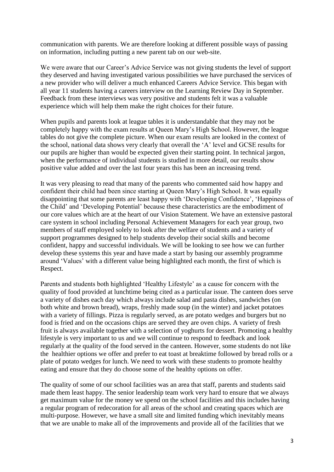communication with parents. We are therefore looking at different possible ways of passing on information, including putting a new parent tab on our web-site.

We were aware that our Career's Advice Service was not giving students the level of support they deserved and having investigated various possibilities we have purchased the services of a new provider who will deliver a much enhanced Careers Advice Service. This began with all year 11 students having a careers interview on the Learning Review Day in September. Feedback from these interviews was very positive and students felt it was a valuable experience which will help them make the right choices for their future.

When pupils and parents look at league tables it is understandable that they may not be completely happy with the exam results at Queen Mary's High School. However, the league tables do not give the complete picture. When our exam results are looked in the context of the school, national data shows very clearly that overall the 'A' level and GCSE results for our pupils are higher than would be expected given their starting point. In technical jargon, when the performance of individual students is studied in more detail, our results show positive value added and over the last four years this has been an increasing trend.

It was very pleasing to read that many of the parents who commented said how happy and confident their child had been since starting at Queen Mary's High School. It was equally disappointing that some parents are least happy with 'Developing Confidence', 'Happiness of the Child' and 'Developing Potential' because these characteristics are the embodiment of our core values which are at the heart of our Vision Statement. We have an extensive pastoral care system in school including Personal Achievement Managers for each year group, two members of staff employed solely to look after the welfare of students and a variety of support programmes designed to help students develop their social skills and become confident, happy and successful individuals. We will be looking to see how we can further develop these systems this year and have made a start by basing our assembly programme around 'Values' with a different value being highlighted each month, the first of which is Respect.

Parents and students both highlighted 'Healthy Lifestyle' as a cause for concern with the quality of food provided at lunchtime being cited as a particular issue. The canteen does serve a variety of dishes each day which always include salad and pasta dishes, sandwiches (on both white and brown bread), wraps, freshly made soup (in the winter) and jacket potatoes with a variety of fillings. Pizza is regularly served, as are potato wedges and burgers but no food is fried and on the occasions chips are served they are oven chips. A variety of fresh fruit is always available together with a selection of yoghurts for dessert. Promoting a healthy lifestyle is very important to us and we will continue to respond to feedback and look regularly at the quality of the food served in the canteen. However, some students do not like the healthier options we offer and prefer to eat toast at breaktime followed by bread rolls or a plate of potato wedges for lunch. We need to work with these students to promote healthy eating and ensure that they do choose some of the healthy options on offer.

The quality of some of our school facilities was an area that staff, parents and students said made them least happy. The senior leadership team work very hard to ensure that we always get maximum value for the money we spend on the school facilities and this includes having a regular program of redecoration for all areas of the school and creating spaces which are multi-purpose. However, we have a small site and limited funding which inevitably means that we are unable to make all of the improvements and provide all of the facilities that we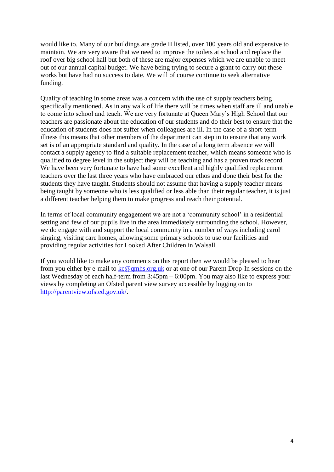would like to. Many of our buildings are grade II listed, over 100 years old and expensive to maintain. We are very aware that we need to improve the toilets at school and replace the roof over big school hall but both of these are major expenses which we are unable to meet out of our annual capital budget. We have being trying to secure a grant to carry out these works but have had no success to date. We will of course continue to seek alternative funding.

Quality of teaching in some areas was a concern with the use of supply teachers being specifically mentioned. As in any walk of life there will be times when staff are ill and unable to come into school and teach. We are very fortunate at Queen Mary's High School that our teachers are passionate about the education of our students and do their best to ensure that the education of students does not suffer when colleagues are ill. In the case of a short-term illness this means that other members of the department can step in to ensure that any work set is of an appropriate standard and quality. In the case of a long term absence we will contact a supply agency to find a suitable replacement teacher, which means someone who is qualified to degree level in the subject they will be teaching and has a proven track record. We have been very fortunate to have had some excellent and highly qualified replacement teachers over the last three years who have embraced our ethos and done their best for the students they have taught. Students should not assume that having a supply teacher means being taught by someone who is less qualified or less able than their regular teacher, it is just a different teacher helping them to make progress and reach their potential.

In terms of local community engagement we are not a 'community school' in a residential setting and few of our pupils live in the area immediately surrounding the school. However, we do engage with and support the local community in a number of ways including carol singing, visiting care homes, allowing some primary schools to use our facilities and providing regular activities for Looked After Children in Walsall.

If you would like to make any comments on this report then we would be pleased to hear from you either by e-mail to [kc@qmhs.org.uk](mailto:kc@qmhs.org.uk) or at one of our Parent Drop-In sessions on the last Wednesday of each half-term from 3:45pm – 6:00pm. You may also like to express your views by completing an Ofsted parent view survey accessible by logging on to [http://parentview.ofsted.gov.uk/.](http://parentview.ofsted.gov.uk/)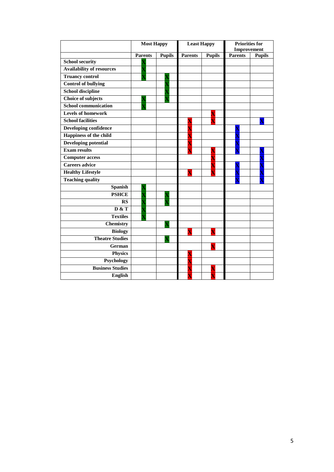|                                  | <b>Most Happy</b> |               | <b>Least Happy</b> |                         | <b>Priorities for</b><br>Improvement |               |
|----------------------------------|-------------------|---------------|--------------------|-------------------------|--------------------------------------|---------------|
|                                  | <b>Parents</b>    | <b>Pupils</b> | <b>Parents</b>     | <b>Pupils</b>           | <b>Parents</b>                       | <b>Pupils</b> |
| <b>School security</b>           |                   |               |                    |                         |                                      |               |
| <b>Availability of resources</b> |                   |               |                    |                         |                                      |               |
| <b>Truancy control</b>           |                   |               |                    |                         |                                      |               |
| <b>Control of bullying</b>       |                   |               |                    |                         |                                      |               |
| <b>School discipline</b>         |                   |               |                    |                         |                                      |               |
| Choice of subjects               |                   |               |                    |                         |                                      |               |
| <b>School communication</b>      |                   |               |                    |                         |                                      |               |
| <b>Levels of homework</b>        |                   |               |                    | $\overline{\mathbf{X}}$ |                                      |               |
| <b>School facilities</b>         |                   |               |                    |                         |                                      |               |
| <b>Developing confidence</b>     |                   |               | Χ                  |                         |                                      |               |
| Happiness of the child           |                   |               |                    |                         |                                      |               |
| <b>Developing potential</b>      |                   |               |                    |                         |                                      |               |
| <b>Exam results</b>              |                   |               |                    | $\overline{\textbf{X}}$ |                                      |               |
| <b>Computer access</b>           |                   |               |                    |                         |                                      |               |
| <b>Careers advice</b>            |                   |               |                    | $\overline{\textbf{X}}$ |                                      |               |
| <b>Healthy Lifestyle</b>         |                   |               | X                  |                         |                                      |               |
| <b>Teaching quality</b>          |                   |               |                    |                         |                                      |               |
| <b>Spanish</b>                   |                   |               |                    |                         |                                      |               |
| <b>PSHCE</b>                     |                   |               |                    |                         |                                      |               |
| RS                               |                   |               |                    |                         |                                      |               |
| D & T                            |                   |               |                    |                         |                                      |               |
| <b>Textiles</b>                  |                   |               |                    |                         |                                      |               |
| <b>Chemistry</b>                 |                   |               |                    |                         |                                      |               |
| <b>Biology</b>                   |                   |               |                    | $\overline{\mathbf{X}}$ |                                      |               |
| <b>Theatre Studies</b>           |                   |               |                    |                         |                                      |               |
| German                           |                   |               |                    |                         |                                      |               |
| <b>Physics</b>                   |                   |               |                    |                         |                                      |               |
| Psychology                       |                   |               | Χ                  |                         |                                      |               |
| <b>Business Studies</b>          |                   |               |                    |                         |                                      |               |
| <b>English</b>                   |                   |               |                    |                         |                                      |               |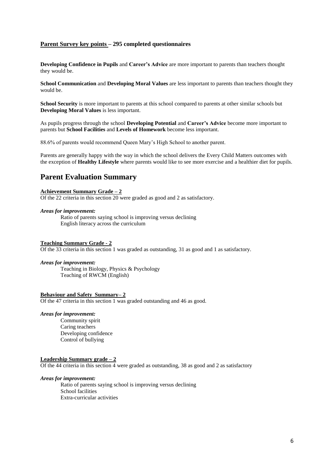## **Parent Survey key points – 295 completed questionnaires**

**Developing Confidence in Pupils** and **Career's Advice** are more important to parents than teachers thought they would be.

**School Communication** and **Developing Moral Values** are less important to parents than teachers thought they would be.

**School Security** is more important to parents at this school compared to parents at other similar schools but **Developing Moral Values** is less important.

As pupils progress through the school **Developing Potential** and **Career's Advice** become more important to parents but **School Facilities** and **Levels of Homework** become less important.

88.6% of parents would recommend Queen Mary's High School to another parent.

Parents are generally happy with the way in which the school delivers the Every Child Matters outcomes with the exception of **Healthy Lifestyle** where parents would like to see more exercise and a healthier diet for pupils.

# **Parent Evaluation Summary**

#### **Achievement Summary Grade – 2**

Of the 22 criteria in this section 20 were graded as good and 2 as satisfactory.

### *Areas for improvement:*

Ratio of parents saying school is improving versus declining English literacy across the curriculum

#### **Teaching Summary Grade - 2**

Of the 33 criteria in this section 1 was graded as outstanding, 31 as good and 1 as satisfactory.

#### *Areas for improvement:*

Teaching in Biology, Physics & Psychology Teaching of RWCM (English)

### **Behaviour and Safety Summary– 2**

Of the 47 criteria in this section 1 was graded outstanding and 46 as good.

#### *Areas for improvement:*

Community spirit Caring teachers Developing confidence Control of bullying

#### **Leadership Summary grade – 2**

Of the 44 criteria in this section 4 were graded as outstanding, 38 as good and 2 as satisfactory

#### *Areas for improvement:*

Ratio of parents saying school is improving versus declining School facilities Extra-curricular activities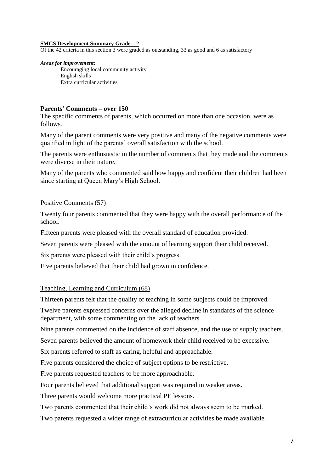## **SMCS Development Summary Grade – 2**

Of the 42 criteria in this section 3 were graded as outstanding, 33 as good and 6 as satisfactory

### *Areas for improvement:*

Encouraging local community activity English skills Extra curricular activities

## **Parents' Comments – over 150**

The specific comments of parents, which occurred on more than one occasion, were as follows.

Many of the parent comments were very positive and many of the negative comments were qualified in light of the parents' overall satisfaction with the school.

The parents were enthusiastic in the number of comments that they made and the comments were diverse in their nature.

Many of the parents who commented said how happy and confident their children had been since starting at Queen Mary's High School.

# Positive Comments (57)

Twenty four parents commented that they were happy with the overall performance of the school.

Fifteen parents were pleased with the overall standard of education provided.

Seven parents were pleased with the amount of learning support their child received.

Six parents were pleased with their child's progress.

Five parents believed that their child had grown in confidence.

# Teaching, Learning and Curriculum (68)

Thirteen parents felt that the quality of teaching in some subjects could be improved.

Twelve parents expressed concerns over the alleged decline in standards of the science department, with some commenting on the lack of teachers.

Nine parents commented on the incidence of staff absence, and the use of supply teachers.

Seven parents believed the amount of homework their child received to be excessive.

Six parents referred to staff as caring, helpful and approachable.

Five parents considered the choice of subject options to be restrictive.

Five parents requested teachers to be more approachable.

Four parents believed that additional support was required in weaker areas.

Three parents would welcome more practical PE lessons.

Two parents commented that their child's work did not always seem to be marked.

Two parents requested a wider range of extracurricular activities be made available.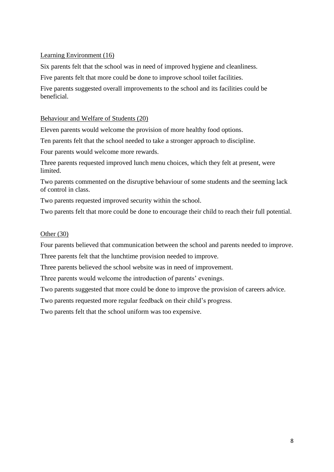# Learning Environment (16)

Six parents felt that the school was in need of improved hygiene and cleanliness.

Five parents felt that more could be done to improve school toilet facilities.

Five parents suggested overall improvements to the school and its facilities could be beneficial.

# Behaviour and Welfare of Students (20)

Eleven parents would welcome the provision of more healthy food options.

Ten parents felt that the school needed to take a stronger approach to discipline.

Four parents would welcome more rewards.

Three parents requested improved lunch menu choices, which they felt at present, were limited.

Two parents commented on the disruptive behaviour of some students and the seeming lack of control in class.

Two parents requested improved security within the school.

Two parents felt that more could be done to encourage their child to reach their full potential.

# Other (30)

Four parents believed that communication between the school and parents needed to improve.

Three parents felt that the lunchtime provision needed to improve.

Three parents believed the school website was in need of improvement.

Three parents would welcome the introduction of parents' evenings.

Two parents suggested that more could be done to improve the provision of careers advice.

Two parents requested more regular feedback on their child's progress.

Two parents felt that the school uniform was too expensive.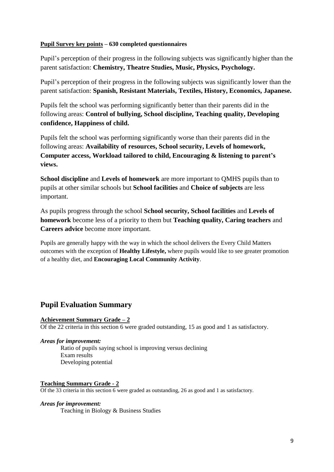# **Pupil Survey key points – 630 completed questionnaires**

Pupil's perception of their progress in the following subjects was significantly higher than the parent satisfaction: **Chemistry, Theatre Studies, Music, Physics, Psychology.**

Pupil's perception of their progress in the following subjects was significantly lower than the parent satisfaction: **Spanish, Resistant Materials, Textiles, History, Economics, Japanese.**

Pupils felt the school was performing significantly better than their parents did in the following areas: **Control of bullying, School discipline, Teaching quality, Developing confidence, Happiness of child.**

Pupils felt the school was performing significantly worse than their parents did in the following areas: **Availability of resources, School security, Levels of homework, Computer access, Workload tailored to child, Encouraging & listening to parent's views.**

**School discipline** and **Levels of homework** are more important to QMHS pupils than to pupils at other similar schools but **School facilities** and **Choice of subjects** are less important.

As pupils progress through the school **School security, School facilities** and **Levels of homework** become less of a priority to them but **Teaching quality, Caring teachers** and **Careers advice** become more important.

Pupils are generally happy with the way in which the school delivers the Every Child Matters outcomes with the exception of **Healthy Lifestyle,** where pupils would like to see greater promotion of a healthy diet, and **Encouraging Local Community Activity**.

# **Pupil Evaluation Summary**

## **Achievement Summary Grade – 2**

Of the 22 criteria in this section 6 were graded outstanding, 15 as good and 1 as satisfactory.

## *Areas for improvement:*

Ratio of pupils saying school is improving versus declining Exam results Developing potential

## **Teaching Summary Grade - 2**

Of the 33 criteria in this section 6 were graded as outstanding, 26 as good and 1 as satisfactory.

## *Areas for improvement:*

Teaching in Biology & Business Studies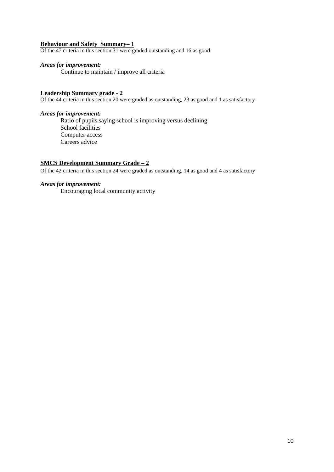# **Behaviour and Safety Summary– 1**

Of the 47 criteria in this section 31 were graded outstanding and 16 as good.

## *Areas for improvement:*

Continue to maintain / improve all criteria

# **Leadership Summary grade - 2**

Of the 44 criteria in this section 20 were graded as outstanding, 23 as good and 1 as satisfactory

## *Areas for improvement:*

Ratio of pupils saying school is improving versus declining School facilities Computer access Careers advice

# **SMCS Development Summary Grade – 2**

Of the 42 criteria in this section 24 were graded as outstanding, 14 as good and 4 as satisfactory

## *Areas for improvement:*

Encouraging local community activity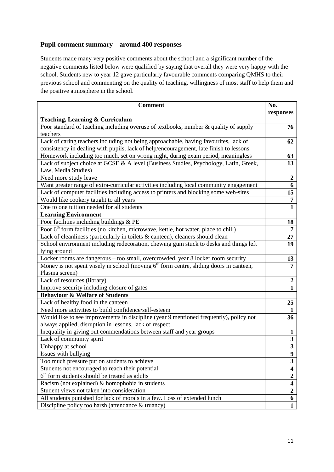# **Pupil comment summary – around 400 responses**

Students made many very positive comments about the school and a significant number of the negative comments listed below were qualified by saying that overall they were very happy with the school. Students new to year 12 gave particularly favourable comments comparing QMHS to their previous school and commenting on the quality of teaching, willingness of most staff to help them and the positive atmosphere in the school.

| <b>Comment</b>                                                                                                                                                                 | No.<br>responses        |
|--------------------------------------------------------------------------------------------------------------------------------------------------------------------------------|-------------------------|
| <b>Teaching, Learning &amp; Curriculum</b>                                                                                                                                     |                         |
| Poor standard of teaching including overuse of textbooks, number & quality of supply<br>teachers                                                                               | 76                      |
| Lack of caring teachers including not being approachable, having favourites, lack of<br>consistency in dealing with pupils, lack of help/encouragement, late finish to lessons | 62                      |
| Homework including too much, set on wrong night, during exam period, meaningless                                                                                               | 63                      |
| Lack of subject choice at GCSE & A level (Business Studies, Psychology, Latin, Greek,<br>Law, Media Studies)                                                                   | 13                      |
| Need more study leave                                                                                                                                                          | $\boldsymbol{2}$        |
| Want greater range of extra-curricular activities including local community engagement                                                                                         | 6                       |
| Lack of computer facilities including access to printers and blocking some web-sites                                                                                           | 15                      |
| Would like cookery taught to all years                                                                                                                                         | $\overline{7}$          |
| One to one tuition needed for all students                                                                                                                                     | $\mathbf{1}$            |
| <b>Learning Environment</b>                                                                                                                                                    |                         |
| Poor facilities including buildings & PE                                                                                                                                       | 18                      |
| Poor 6 <sup>th</sup> form facilities (no kitchen, microwave, kettle, hot water, place to chill)                                                                                | 7                       |
| Lack of cleanliness (particularly in toilets & canteen), cleaners should clean                                                                                                 | 27                      |
| School environment including redecoration, chewing gum stuck to desks and things left                                                                                          | 19                      |
| lying around                                                                                                                                                                   |                         |
| Locker rooms are dangerous - too small, overcrowded, year 8 locker room security                                                                                               | 13                      |
| Money is not spent wisely in school (moving $6th$ form centre, sliding doors in canteen,                                                                                       | $\overline{7}$          |
| Plasma screen)                                                                                                                                                                 |                         |
| Lack of resources (library)                                                                                                                                                    | $\boldsymbol{2}$        |
| Improve security including closure of gates                                                                                                                                    | $\mathbf{1}$            |
| <b>Behaviour &amp; Welfare of Students</b>                                                                                                                                     |                         |
| Lack of healthy food in the canteen                                                                                                                                            | 25                      |
| Need more activities to build confidence/self-esteem                                                                                                                           | $\mathbf{1}$            |
| Would like to see improvements in discipline (year 9 mentioned frequently), policy not                                                                                         | 36                      |
| always applied, disruption in lessons, lack of respect                                                                                                                         |                         |
| Inequality in giving out commendations between staff and year groups                                                                                                           | $\mathbf{1}$            |
| Lack of community spirit                                                                                                                                                       | $\overline{\mathbf{3}}$ |
| Unhappy at school                                                                                                                                                              | $\overline{\mathbf{3}}$ |
| Issues with bullying                                                                                                                                                           | 9                       |
| Too much pressure put on students to achieve                                                                                                                                   | $\overline{\mathbf{3}}$ |
| Students not encouraged to reach their potential                                                                                                                               | $\overline{\mathbf{4}}$ |
| 6 <sup>th</sup> form students should be treated as adults                                                                                                                      | $\overline{2}$          |
| Racism (not explained) $\&$ homophobia in students                                                                                                                             | $\overline{\mathbf{4}}$ |
| Student views not taken into consideration                                                                                                                                     | $\overline{2}$          |
| All students punished for lack of morals in a few. Loss of extended lunch                                                                                                      | 6                       |
| Discipline policy too harsh (attendance & truancy)                                                                                                                             | $\mathbf{1}$            |